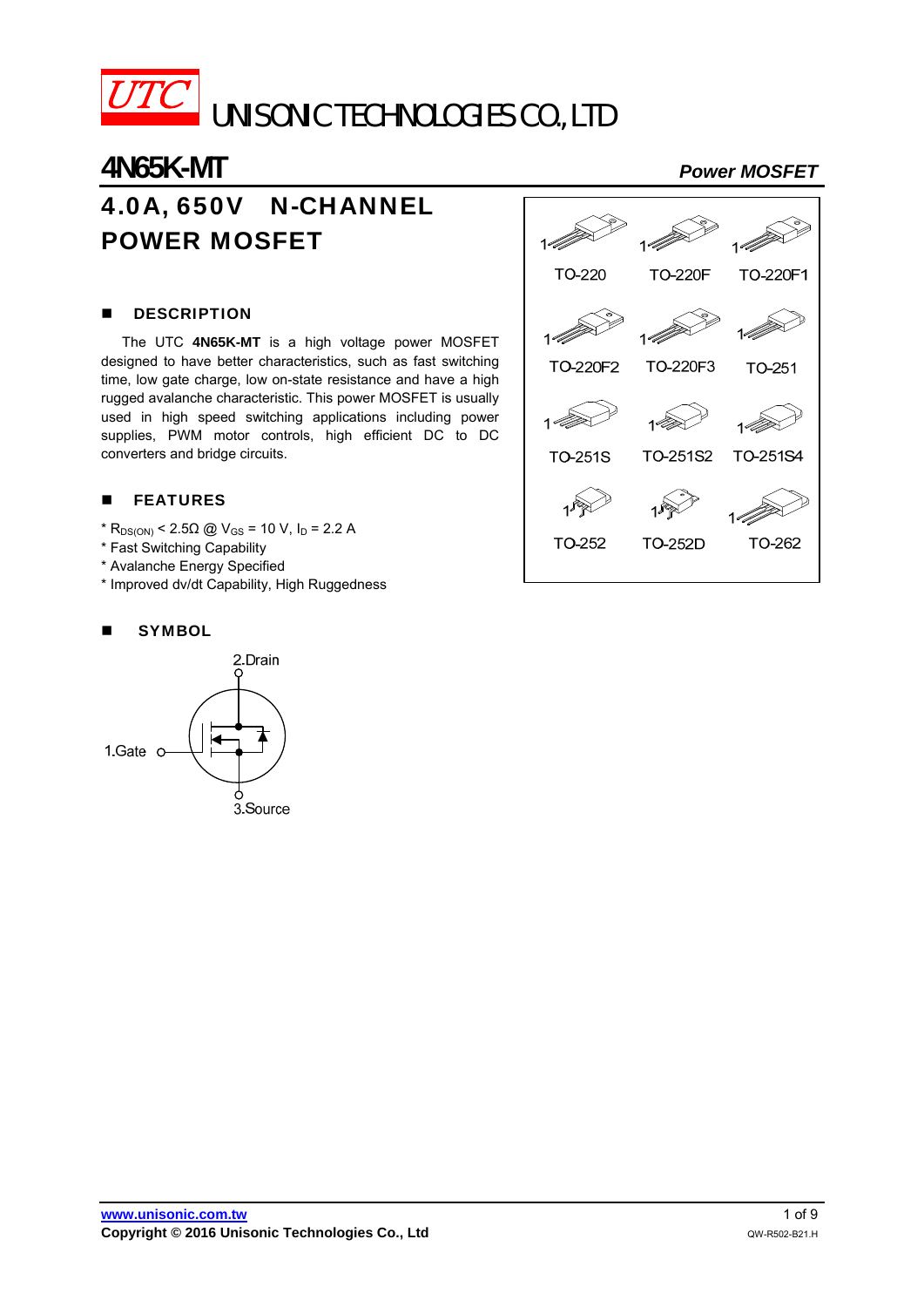

## **4N65K-MT** *Power MOSFET* 4.0A, 650V N-CHANNEL POWER MOSFET

## **DESCRIPTION**

The UTC **4N65K-MT** is a high voltage power MOSFET designed to have better characteristics, such as fast switching time, low gate charge, low on-state resistance and have a high rugged avalanche characteristic. This power MOSFET is usually used in high speed switching applications including power supplies, PWM motor controls, high efficient DC to DC converters and bridge circuits.

## **FEATURES**

- $*$  R<sub>DS(ON)</sub> < 2.5Ω @ V<sub>GS</sub> = 10 V, I<sub>D</sub> = 2.2 A
- \* Fast Switching Capability
- \* Avalanche Energy Specified
- \* Improved dv/dt Capability, High Ruggedness

## **SYMBOL**



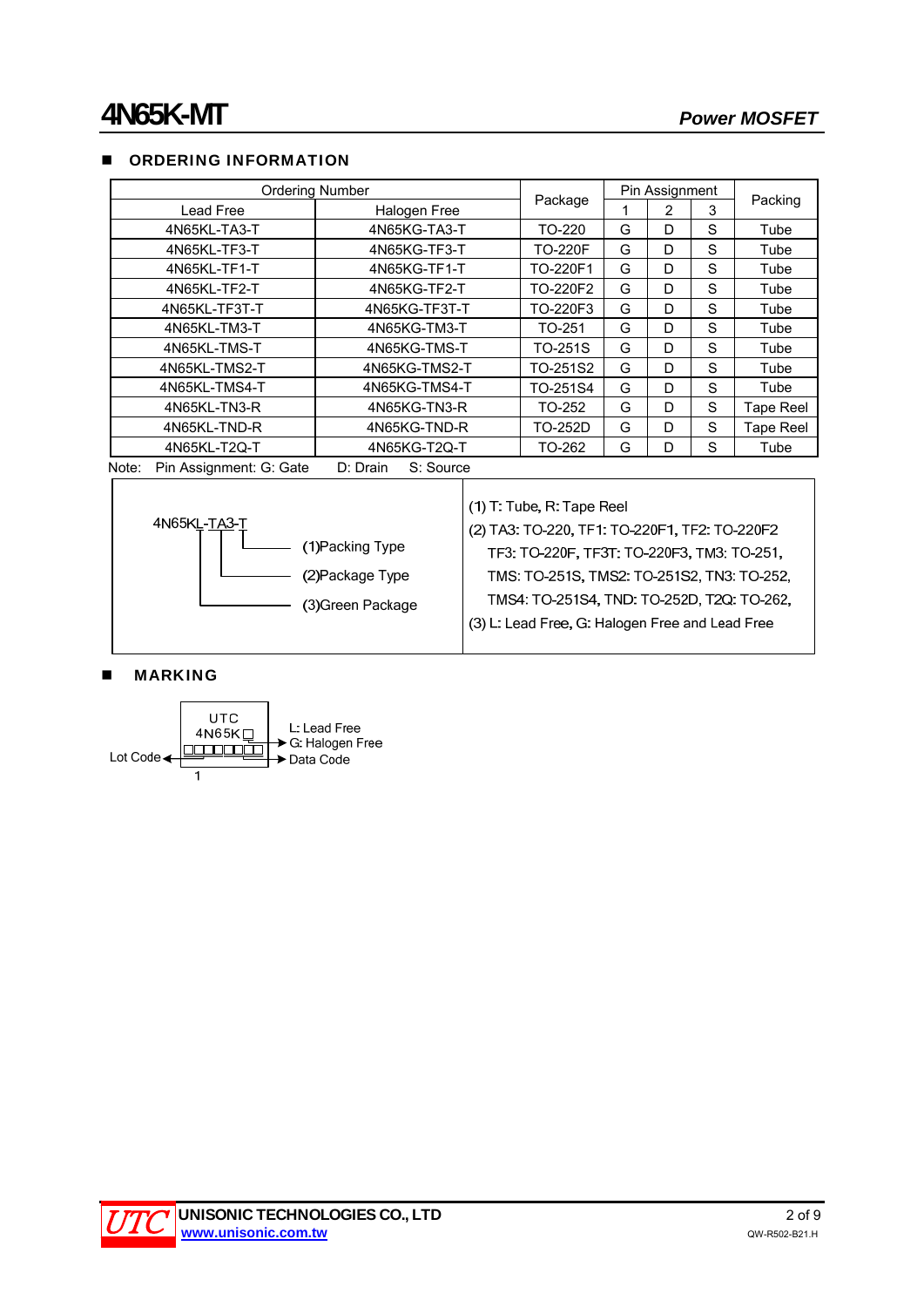## **DE ORDERING INFORMATION**

| <b>Ordering Number</b>           |                       | Package        | Pin Assignment |                |   |                  |  |
|----------------------------------|-----------------------|----------------|----------------|----------------|---|------------------|--|
| Lead Free                        | Halogen Free          |                |                | $\overline{2}$ | 3 | Packing          |  |
| 4N65KL-TA3-T                     | 4N65KG-TA3-T          | TO-220         | G              | D              | S | Tube             |  |
| 4N65KL-TF3-T                     | 4N65KG-TF3-T          | <b>TO-220F</b> | G              | D              | S | Tube             |  |
| 4N65KL-TF1-T                     | 4N65KG-TF1-T          | TO-220F1       | G              | D              | S | Tube             |  |
| 4N65KL-TF2-T                     | 4N65KG-TF2-T          | TO-220F2       | G              | D              | S | Tube             |  |
| 4N65KL-TF3T-T                    | 4N65KG-TF3T-T         | TO-220F3       | G              | D              | S | Tube             |  |
| 4N65KL-TM3-T                     | 4N65KG-TM3-T          | TO-251         | G              | D              | S | Tube             |  |
| 4N65KL-TMS-T                     | 4N65KG-TMS-T          | TO-251S        | G              | D              | S | Tube             |  |
| 4N65KL-TMS2-T                    | 4N65KG-TMS2-T         | TO-251S2       | G              | D              | S | Tube             |  |
| 4N65KL-TMS4-T                    | 4N65KG-TMS4-T         | TO-251S4       | G              | D              | S | Tube             |  |
| 4N65KL-TN3-R                     | 4N65KG-TN3-R          | TO-252         | G              | D              | S | <b>Tape Reel</b> |  |
| 4N65KL-TND-R                     | 4N65KG-TND-R          | TO-252D        | G              | D              | S | <b>Tape Reel</b> |  |
| 4N65KL-T2Q-T                     | 4N65KG-T2Q-T          | TO-262         | G              | D              | S | Tube             |  |
| Note:<br>Pin Assignment: G: Gate | D: Drain<br>S: Source |                |                |                |   |                  |  |



#### **MARKING**



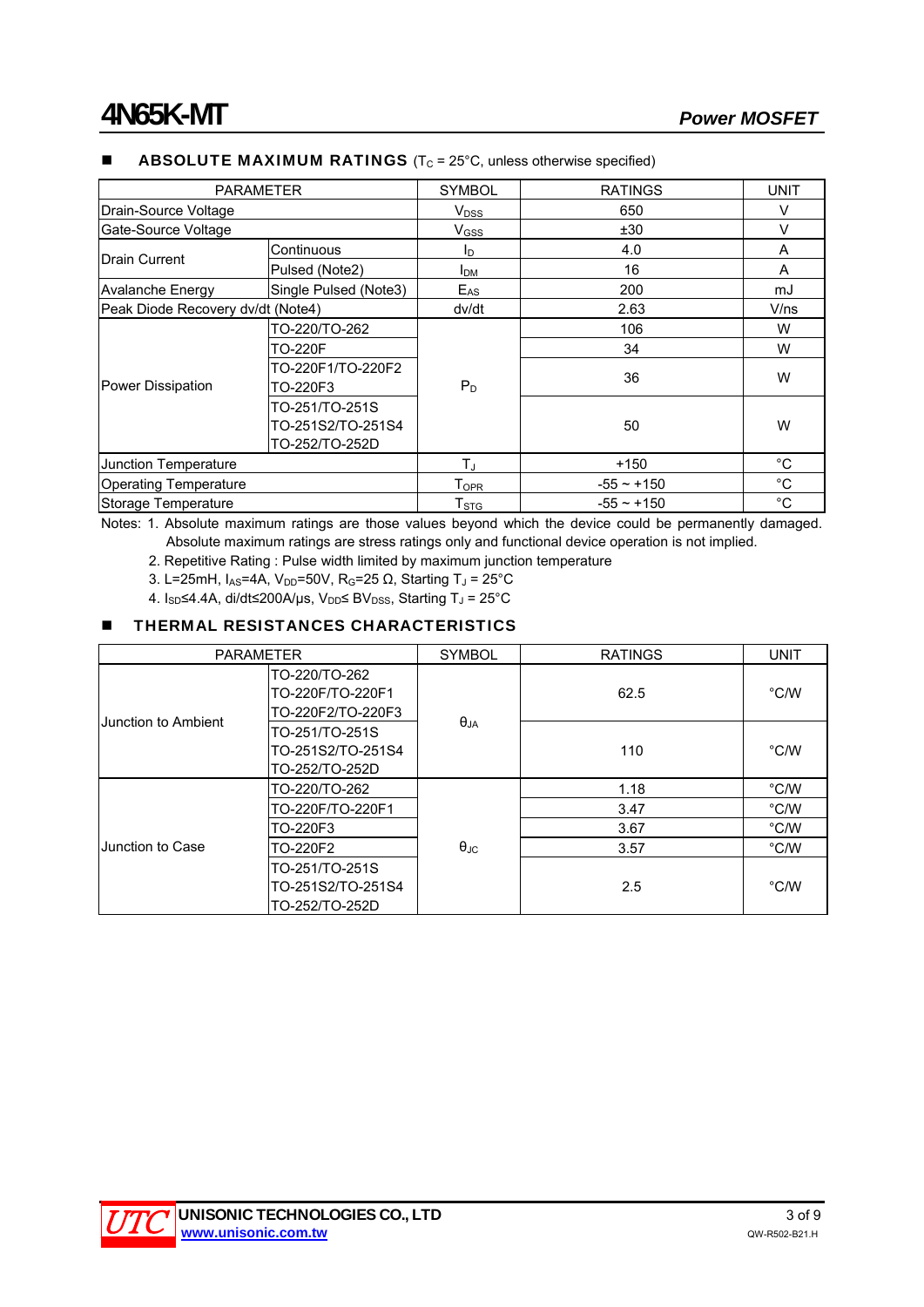| <b>PARAMETER</b>                  |                                                       | <b>SYMBOL</b>          | <b>RATINGS</b>  | UNIT         |
|-----------------------------------|-------------------------------------------------------|------------------------|-----------------|--------------|
| Drain-Source Voltage              |                                                       | <b>V<sub>DSS</sub></b> | 650             | $\vee$       |
| Gate-Source Voltage               |                                                       | $V$ <sub>GSS</sub>     | ±30             | $\vee$       |
| Drain Current                     | Continuous                                            | ΙD                     | 4.0             | A            |
|                                   | Pulsed (Note2)                                        | <b>I</b> <sub>DM</sub> | 16              | A            |
| <b>Avalanche Energy</b>           | Single Pulsed (Note3)                                 | $E_{AS}$               | 200             | mJ           |
| Peak Diode Recovery dv/dt (Note4) |                                                       | dv/dt                  | 2.63            | V/ns         |
| Power Dissipation                 | TO-220/TO-262                                         |                        | 106             | W            |
|                                   | TO-220F                                               |                        | 34              | W            |
|                                   | TO-220F1/TO-220F2<br>TO-220F3                         | $P_D$                  | 36              | W            |
|                                   | TO-251/TO-251S<br>TO-251S2/TO-251S4<br>TO-252/TO-252D |                        | 50              | W            |
| Junction Temperature              |                                                       | ТJ                     | $+150$          | $^{\circ}C$  |
| <b>Operating Temperature</b>      |                                                       | $T_{\mathsf{OPR}}$     | $-55 - +150$    | $^{\circ}$ C |
| Storage Temperature               |                                                       | T <sub>STG</sub>       | $-55 \sim +150$ | $^{\circ}C$  |

## **ABSOLUTE MAXIMUM RATINGS** ( $T_c$  = 25 $^{\circ}$ C, unless otherwise specified)

Notes: 1. Absolute maximum ratings are those values beyond which the device could be permanently damaged. Absolute maximum ratings are stress ratings only and functional device operation is not implied.

2. Repetitive Rating : Pulse width limited by maximum junction temperature

3. L=25mH,  $I_{AS}$ =4A,  $V_{DD}$ =50V, R<sub>G</sub>=25  $\Omega$ , Starting T<sub>J</sub> = 25°C

4. I<sub>SD</sub>≤4.4A, di/dt≤200A/μs, V<sub>DD</sub>≤ BV<sub>DSS</sub>, Starting T<sub>J</sub> = 25°C

## **THERMAL RESISTANCES CHARACTERISTICS**

| <b>PARAMETER</b>    |                                                        | <b>SYMBOL</b>     | <b>RATINGS</b> | <b>UNIT</b>   |
|---------------------|--------------------------------------------------------|-------------------|----------------|---------------|
| Junction to Ambient | TO-220/TO-262<br>TO-220F/TO-220F1<br>TO-220F2/TO-220F3 |                   | 62.5           | $\degree$ C/W |
|                     | TO-251/TO-251S<br>TO-251S2/TO-251S4<br>TO-252/TO-252D  | $\theta_{JA}$     | 110            | $\degree$ C/W |
| Junction to Case    | TO-220/TO-262                                          |                   | 1.18           | $\degree$ C/W |
|                     | TO-220F/TO-220F1                                       |                   | 3.47           | $\degree$ C/W |
|                     | TO-220F3                                               |                   | 3.67           | °C/W          |
|                     | TO-220F2                                               | $\theta_{\rm JC}$ | 3.57           | °C/W          |
|                     | TO-251/TO-251S<br>TO-251S2/TO-251S4<br>TO-252/TO-252D  |                   | 2.5            | $\degree$ C/W |

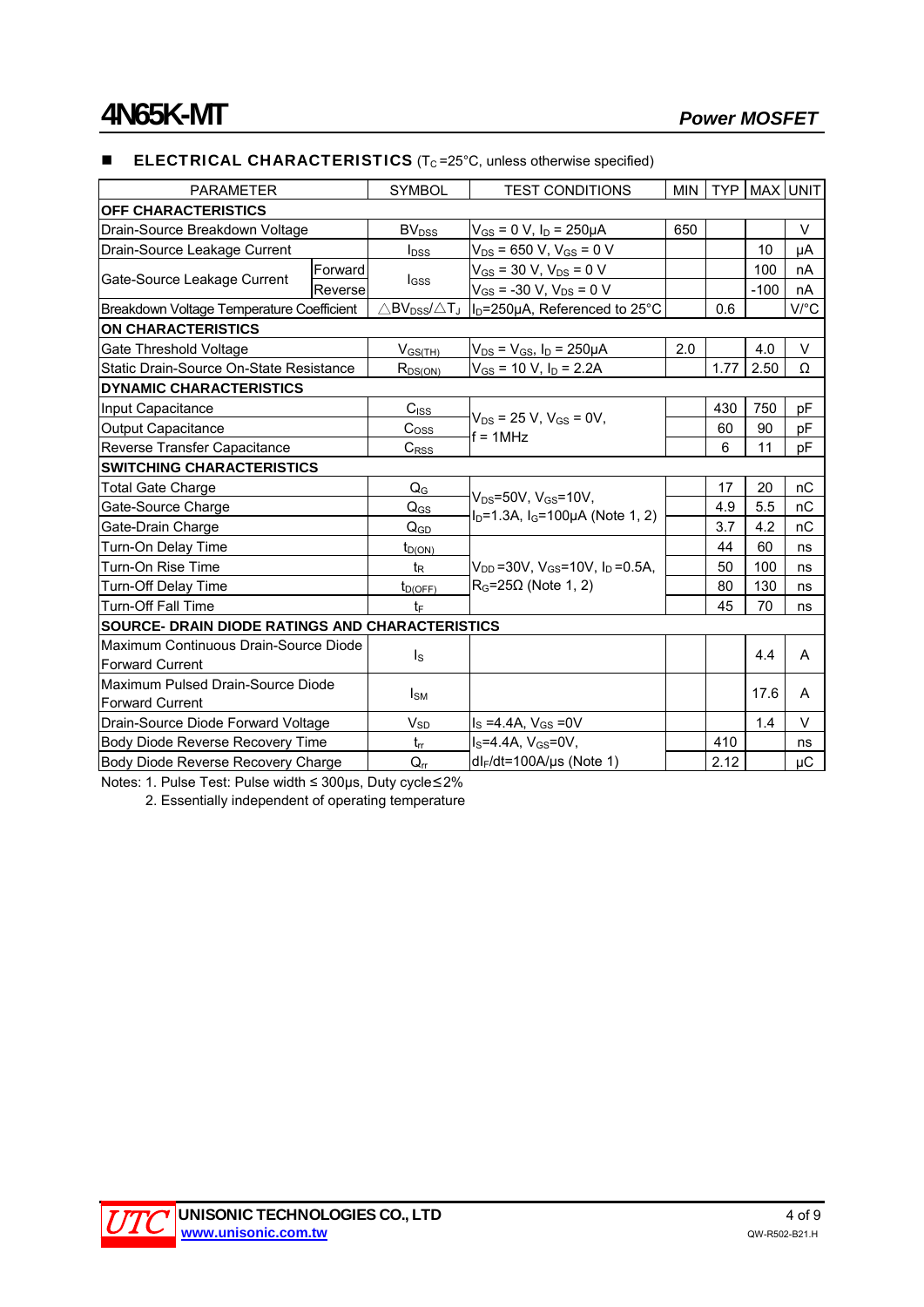| <b>PARAMETER</b>                                            |         | <b>SYMBOL</b>                            | <b>TEST CONDITIONS</b>                                     | <b>MIN</b> | <b>TYP</b> | <b>MAX UNIT</b> |        |  |
|-------------------------------------------------------------|---------|------------------------------------------|------------------------------------------------------------|------------|------------|-----------------|--------|--|
| <b>OFF CHARACTERISTICS</b>                                  |         |                                          |                                                            |            |            |                 |        |  |
| Drain-Source Breakdown Voltage                              |         | BV <sub>DSS</sub>                        | $V_{GS}$ = 0 V, $I_D$ = 250µA                              | 650        |            |                 | $\vee$ |  |
| Drain-Source Leakage Current                                |         | $I_{DSS}$                                | $V_{DS}$ = 650 V, V <sub>GS</sub> = 0 V                    |            |            | 10              | μA     |  |
| Gate-Source Leakage Current                                 | Forward | $I_{GSS}$                                | $V_{GS}$ = 30 V, $V_{DS}$ = 0 V                            |            |            | 100             | nA     |  |
|                                                             | Reverse |                                          | $V_{GS}$ = -30 V, $V_{DS}$ = 0 V                           |            |            | $-100$          | nA     |  |
| Breakdown Voltage Temperature Coefficient                   |         | $\triangle$ BV $_{\rm DSS}/\triangle$ Tj | $\mathsf{II}_\mathsf{D}$ =250µA, Referenced to 25°C        |            | 0.6        |                 | V/°C   |  |
| <b>ON CHARACTERISTICS</b>                                   |         |                                          |                                                            |            |            |                 |        |  |
| Gate Threshold Voltage                                      |         | $V_{GS(TH)}$                             | $V_{DS} = V_{GS}$ , $I_D = 250 \mu A$                      | 2.0        |            | 4.0             | $\vee$ |  |
| Static Drain-Source On-State Resistance                     |         | $R_{DS(ON)}$                             | $V_{GS}$ = 10 V, $I_D$ = 2.2A                              |            | 1.77       | 2.50            | Ω      |  |
| <b>DYNAMIC CHARACTERISTICS</b>                              |         |                                          |                                                            |            |            |                 |        |  |
| Input Capacitance                                           |         | $C_{\text{ISS}}$                         |                                                            |            | 430        | 750             | pF     |  |
| Output Capacitance                                          |         | $C_{\underline{OSS}}$                    | $V_{DS}$ = 25 V, $V_{GS}$ = 0V,<br>$f = 1MHz$              |            | 60         | 90              | pF     |  |
| Reverse Transfer Capacitance                                |         | $C_{\text{RSS}}$                         |                                                            |            | 6          | 11              | pF     |  |
| <b>SWITCHING CHARACTERISTICS</b>                            |         |                                          |                                                            |            |            |                 |        |  |
| Total Gate Charge                                           |         | $Q_{G}$                                  | $V_{DS} = 50V$ , $V_{GS} = 10V$ ,                          |            | 17         | 20              | nC     |  |
| Gate-Source Charge                                          |         | $Q_{GS}$                                 | $I_D = 1.3A$ , $I_G = 100 \mu A$ (Note 1, 2)               |            | 4.9        | 5.5             | nC     |  |
| Gate-Drain Charge                                           |         | $Q_{GD}$                                 |                                                            |            | 3.7        | 4.2             | пC     |  |
| Turn-On Delay Time                                          |         | $t_{D(ON)}$                              |                                                            |            | 44         | 60              | ns     |  |
| Turn-On Rise Time                                           |         | t <sub>R</sub>                           | $V_{DD}$ =30V, V <sub>GS</sub> =10V, I <sub>D</sub> =0.5A, |            | 50         | 100             | ns     |  |
| Turn-Off Delay Time                                         |         | $t_{D(OFF)}$                             | $RG=25\Omega$ (Note 1, 2)                                  |            | 80         | 130             | ns     |  |
| <b>Turn-Off Fall Time</b>                                   |         |                                          |                                                            |            | 45         | 70              | ns     |  |
| SOURCE- DRAIN DIODE RATINGS AND CHARACTERISTICS             |         |                                          |                                                            |            |            |                 |        |  |
| Maximum Continuous Drain-Source Diode                       |         |                                          |                                                            |            |            | 4.4             | A      |  |
| <b>Forward Current</b>                                      |         | $\mathsf{I}_\mathsf{S}$                  |                                                            |            |            |                 |        |  |
| Maximum Pulsed Drain-Source Diode<br><b>Forward Current</b> |         | $I_{SM}$                                 |                                                            |            |            | 17.6            | A      |  |
|                                                             |         |                                          |                                                            |            |            |                 |        |  |
| Drain-Source Diode Forward Voltage                          |         | $V_{SD}$                                 | $I_S = 4.4A$ , $V_{GS} = 0V$                               |            |            | 1.4             | $\vee$ |  |
| Body Diode Reverse Recovery Time                            |         | $t_{rr}$                                 | $Is=4.4A$ . $V$ $(s=0V)$ .                                 |            | 410        |                 | ns     |  |
| Body Diode Reverse Recovery Charge                          |         | $Q_{rr}$                                 | $dl_F/dt = 100A/\mu s$ (Note 1)                            |            | 2.12       |                 | μC     |  |

#### **ELECTRICAL CHARACTERISTICS** ( $T_c$ =25°C, unless otherwise specified)

Notes: 1. Pulse Test: Pulse width ≤ 300μs, Duty cycle≤2%

2. Essentially independent of operating temperature

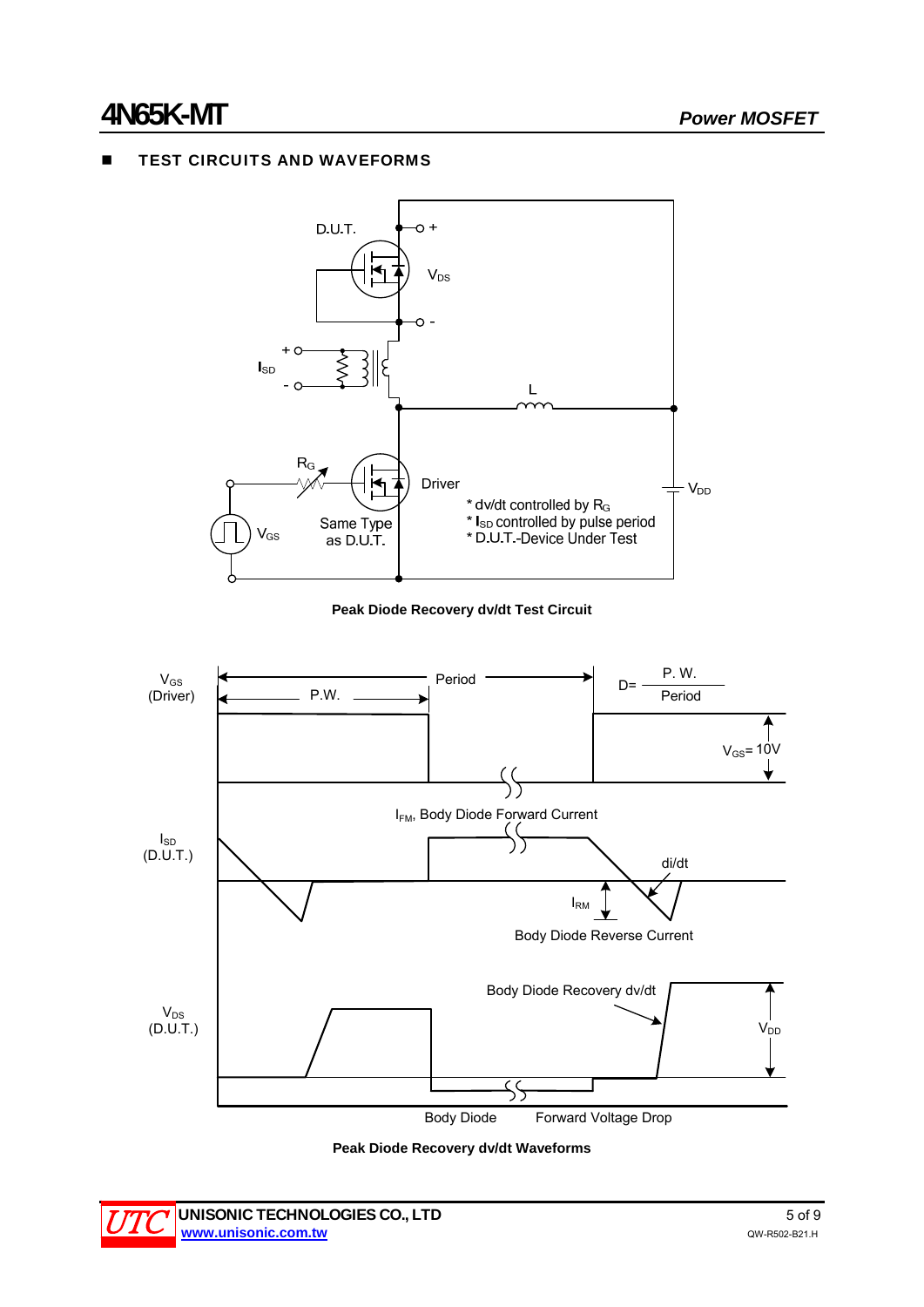## TEST CIRCUITS AND WAVEFORMS



**Peak Diode Recovery dv/dt Test Circuit** 





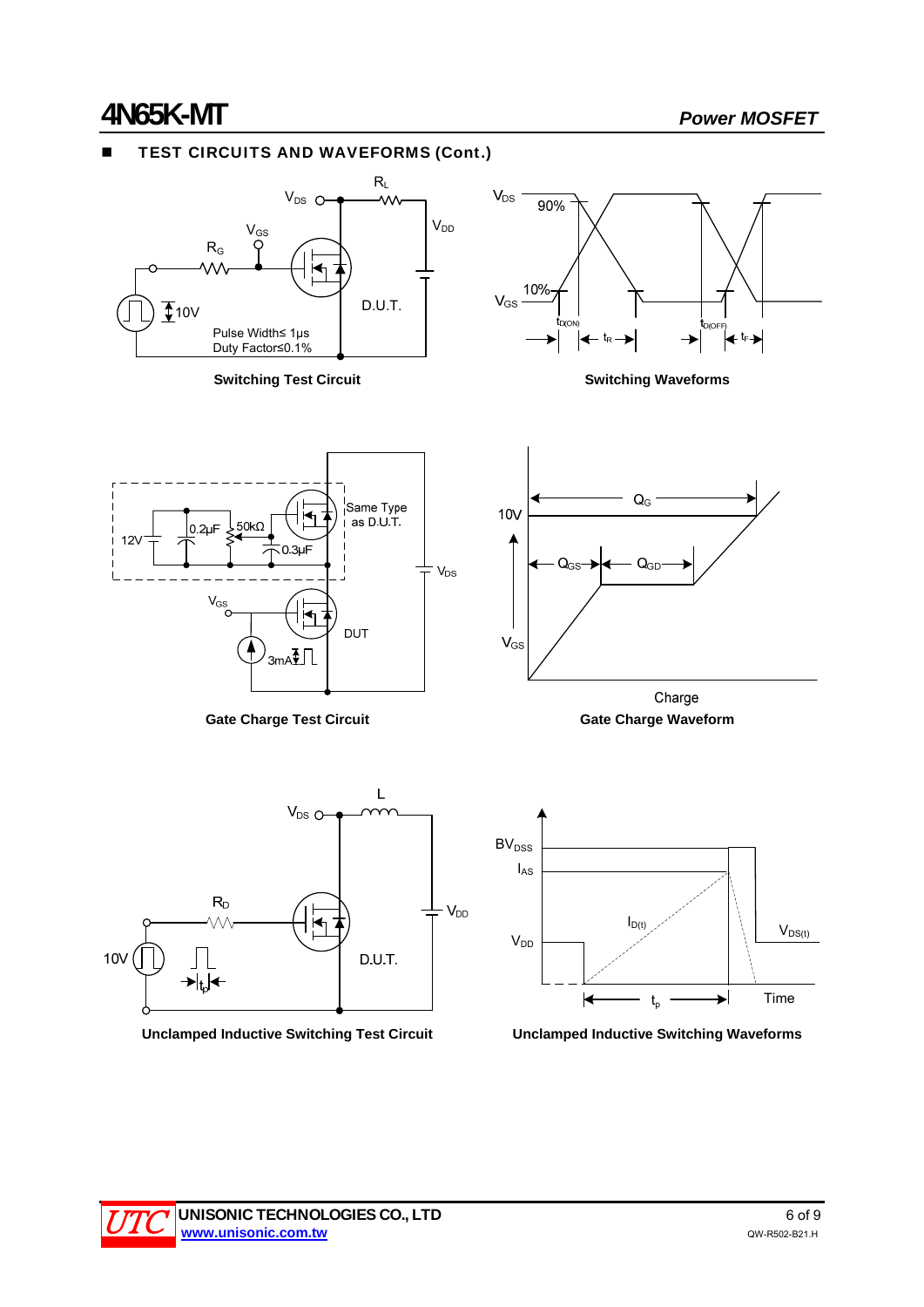## TEST CIRCUITS AND WAVEFORMS (Cont.)





**Switching Test Circuit Switching Waveforms**



**Gate Charge Test Circuit Gate Charge Waveform**









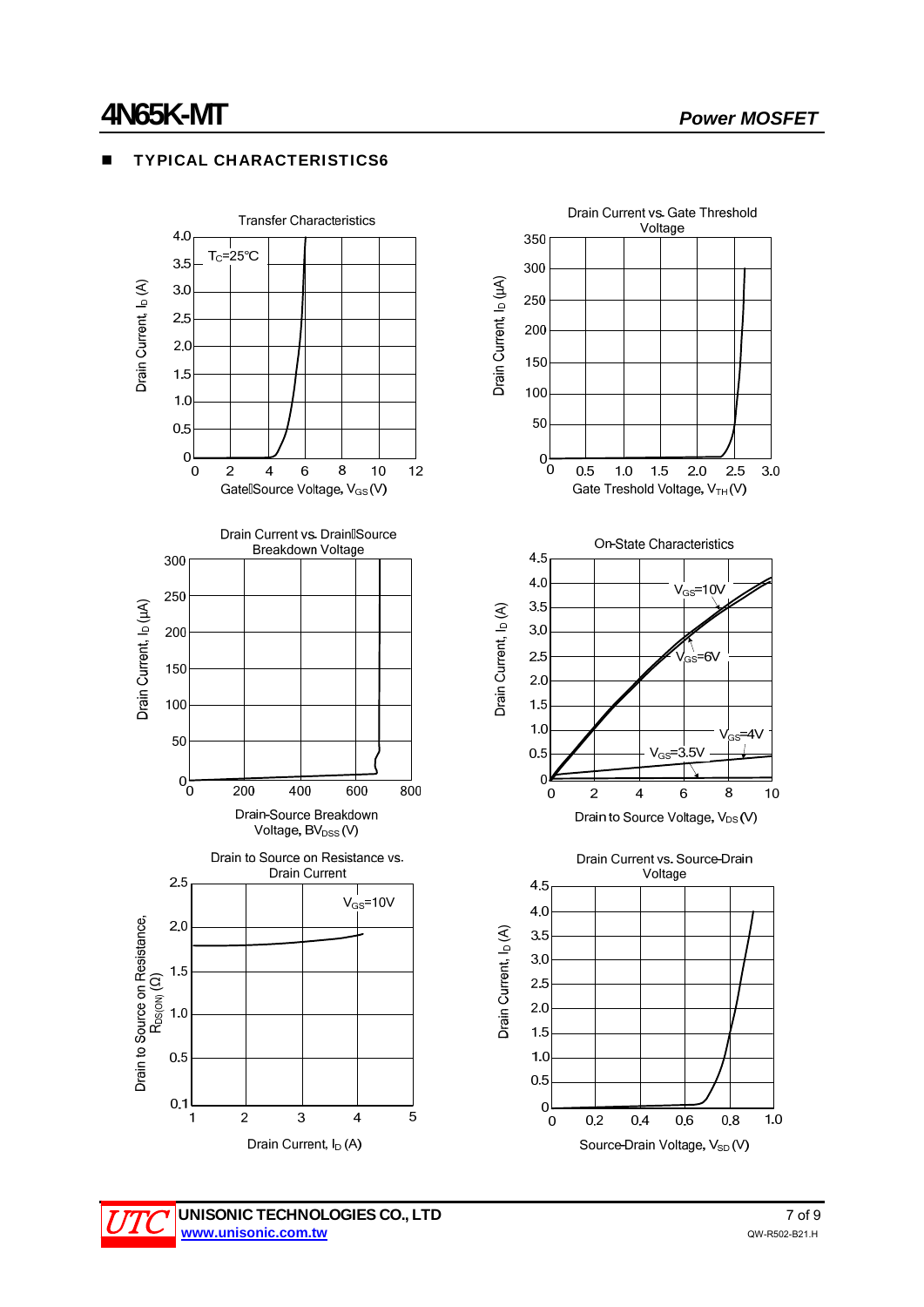$3.0$ 

 $10$ 

### TYPICAL CHARACTERISTICS6



 $1.0$ 

### UNISONIC TECHNOLOGIES CO., LTD 7 of 9 **www.unisonic.com.tw** QW-R502-B21.H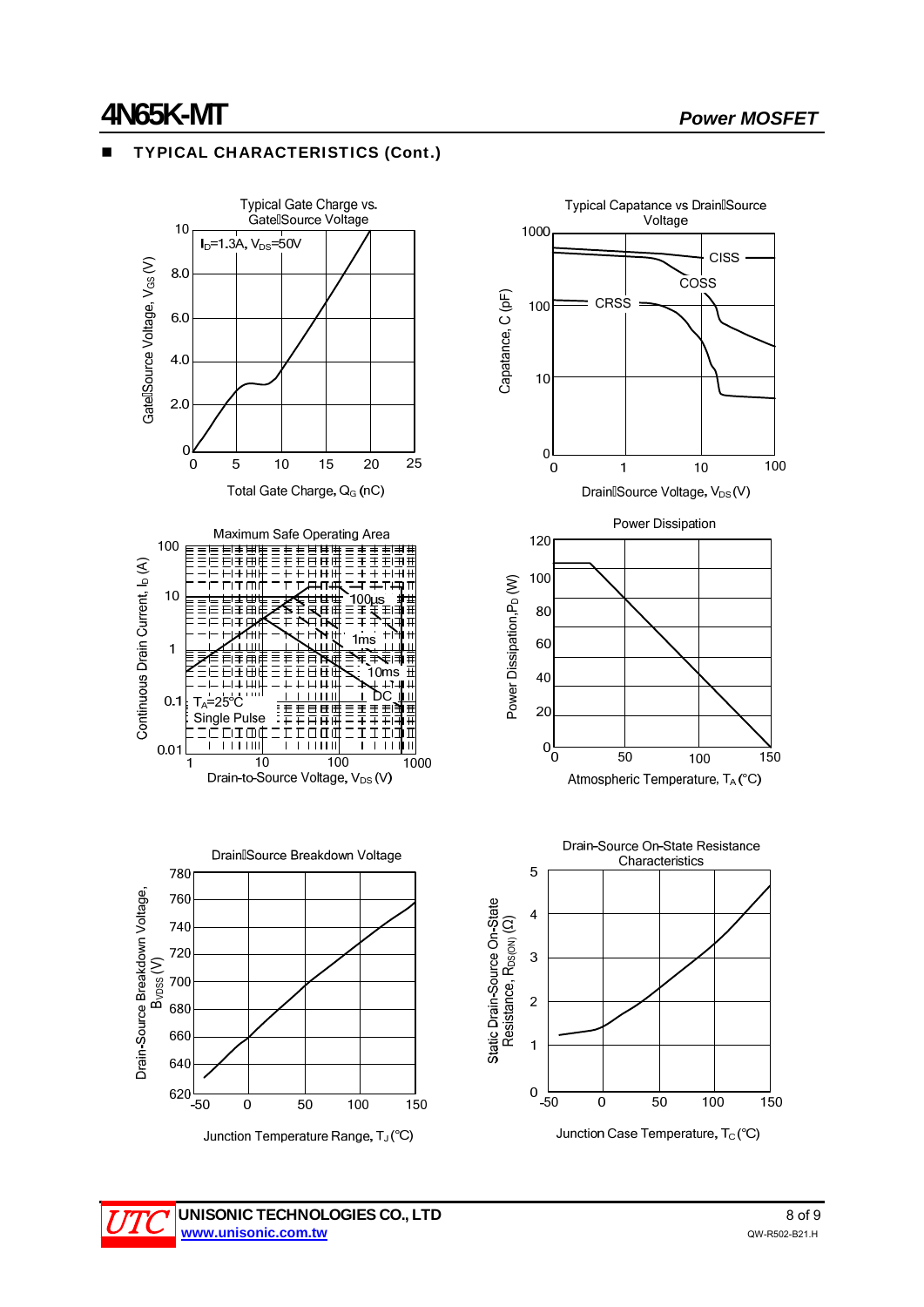## TYPICAL CHARACTERISTICS (Cont.)